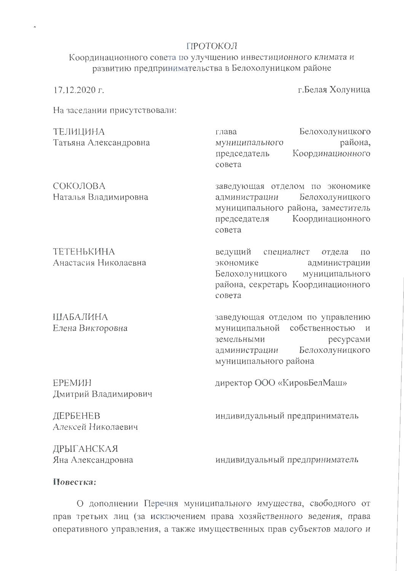## ПРОТОКОЛ

Координационного совета по улучшению инвестиционного климата и развитию предпринимательства в Белохолуницком районе

17.12.2020 г.

г. Белая Холуница

На заседании присутствовали:

| ТЕЛИЦИНА<br>Татьяна Александровна  | Белохолуницкого<br>глава<br>района,<br>муниципального<br>Координационного<br>председатель<br>совета                                                                        |
|------------------------------------|----------------------------------------------------------------------------------------------------------------------------------------------------------------------------|
| СОКОЛОВА<br>Наталья Владимировна   | заведующая отделом по экономике<br>Белохолуницкого<br>администрации<br>муниципального района, заместитель<br>Координационного<br>председателя<br>совета                    |
| ТЕТЕНЬКИНА<br>Анастасия Николаевна | ведущий специалист<br>отдела<br>ПО<br>экономике<br>администрации<br>Белохолуницкого муниципального<br>района, секретарь Координационного<br>совета                         |
| ШАБАЛИНА<br>Елена Викторовна       | заведующая отделом по управлению<br>муниципальной собственностью<br>$\overline{M}$<br>земельными<br>ресурсами<br>Белохолуницкого<br>администрации<br>муниципального района |
| ЕРЕМИН<br>Дмитрий Владимирович     | директор ООО «КировБелМаш»                                                                                                                                                 |
| ДЕРБЕНЕВ<br>Алексей Николаевич     | индивидуальный предприниматель                                                                                                                                             |
|                                    |                                                                                                                                                                            |

ДРЫГАНСКАЯ Яна Александровна

индивидуальный предприниматель

## Повестка:

О дополнении Перечня муниципального имущества, свободного от прав третьих лиц (за исключением права хозяйственного ведения, права оперативного управления, а также имущественных прав субъектов малого и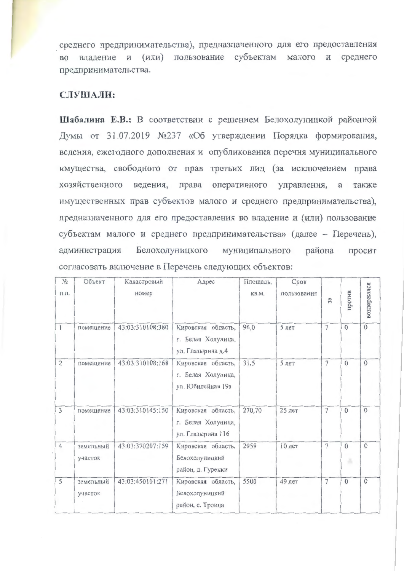среднего предпринимательства), предназначенного для его предоставления во владение и (или) пользование субъектам малого и среднего предпринимательства.

## СЛУШАЛИ:

Шабалина Е.В.: В соответствии с решением Белохолуницкой районной Думы от 31.07.2019 №237 «Об утверждении Порядка формирования, ведения, ежегодного дополнения и опубликования перечня муниципального имущества, свободного от прав третьих лиц (за исключением права хозяйственного ведения, права оперативного управления, а также имущественных прав субъектов малого и среднего предпринимательства), предназначенного для его предоставления во владение и (или) пользование субъектам малого и среднего предпринимательства» (далее - Перечень), Белохолуницкого муниципального администрация района просит согласовать включение в Перечень следующих объектов:

| $N_2$<br>п.п.  | Объект               | Кадастровый<br>номер | Адрес                                                         | Площадь,<br>KB.M. | Срок<br>пользования | 3a             | против        | воздержался    |
|----------------|----------------------|----------------------|---------------------------------------------------------------|-------------------|---------------------|----------------|---------------|----------------|
| $\mathbf{1}$   | помещение            | 43:03:310108:380     | Кировская область,<br>г. Белая Холуница,<br>ул. Глазырина д.4 | 96,0              | $5$ лет             | $\overline{7}$ | $\Omega$      | $\overline{0}$ |
| $\overline{2}$ | помещение            | 43:03:310108:168     | Кировская область,<br>г. Белая Холуница,<br>ул. Юбилейная 19а | 31,5              | 5 лет               | $\overline{7}$ | $\theta$      | $\mathbf{0}$   |
| $\overline{3}$ | помещение            | 43:03:310145:150     | Кировская область,<br>г. Белая Холуница,<br>ул. Глазырина 116 | 270,70            | 25 лет              | $\overline{7}$ | $\Omega$      | $\Omega$       |
| $\overline{4}$ | земельный<br>участок | 43:03:370207:159     | Кировская область,<br>Белохолуницкий<br>район, д. Гуренки     | 2959              | 10 лет              | $\overline{7}$ | $\Omega$<br>× | $\mathbf{0}$   |
| 5              | земельный<br>участок | 43:03:450101:271     | Кировская область,<br>Белохолуницкий<br>район, с. Троица      | 5500              | 49 лет              | $\overline{7}$ | $\Omega$      | $\mathbf{0}$   |